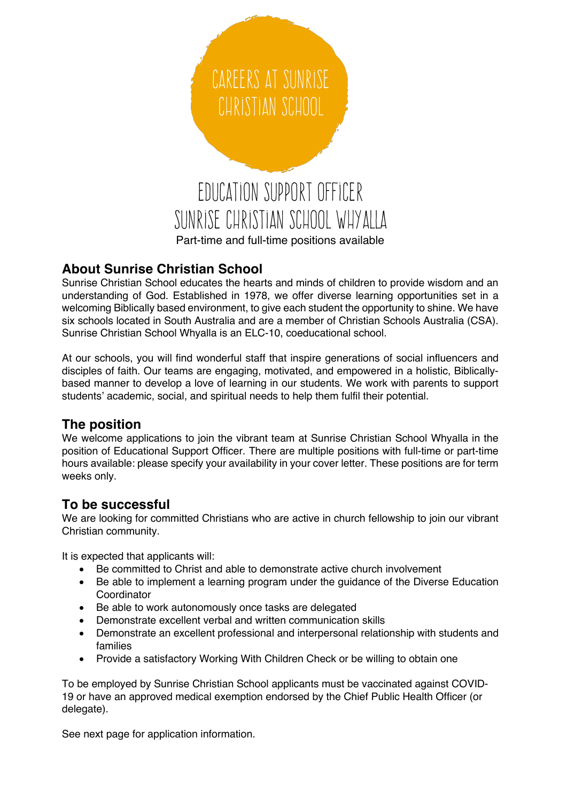

### **About Sunrise Christian School**

Sunrise Christian School educates the hearts and minds of children to provide wisdom and an understanding of God. Established in 1978, we offer diverse learning opportunities set in a welcoming Biblically based environment, to give each student the opportunity to shine. We have six schools located in South Australia and are a member of Christian Schools Australia (CSA). Sunrise Christian School Whyalla is an ELC-10, coeducational school.

At our schools, you will find wonderful staff that inspire generations of social influencers and disciples of faith. Our teams are engaging, motivated, and empowered in a holistic, Biblicallybased manner to develop a love of learning in our students. We work with parents to support students' academic, social, and spiritual needs to help them fulfil their potential.

## **The position**

We welcome applications to join the vibrant team at Sunrise Christian School Whyalla in the position of Educational Support Officer. There are multiple positions with full-time or part-time hours available: please specify your availability in your cover letter. These positions are for term weeks only.

#### **To be successful**

We are looking for committed Christians who are active in church fellowship to join our vibrant Christian community.

It is expected that applicants will:

- Be committed to Christ and able to demonstrate active church involvement
- Be able to implement a learning program under the guidance of the Diverse Education Coordinator
- Be able to work autonomously once tasks are delegated
- Demonstrate excellent verbal and written communication skills
- Demonstrate an excellent professional and interpersonal relationship with students and families
- Provide a satisfactory Working With Children Check or be willing to obtain one

To be employed by Sunrise Christian School applicants must be vaccinated against COVID-19 or have an approved medical exemption endorsed by the Chief Public Health Officer (or delegate).

See next page for application information.